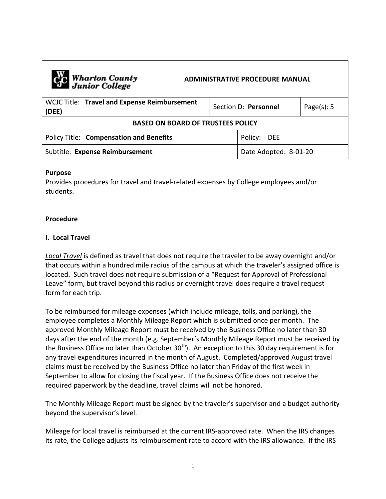| C <sub>C</sub> Wharton County<br>Junior College       | <b>ADMINISTRATIVE PROCEDURE MANUAL</b> |                      |                       |                |  |
|-------------------------------------------------------|----------------------------------------|----------------------|-----------------------|----------------|--|
| WCJC Title: Travel and Expense Reimbursement<br>(DEE) |                                        | Section D: Personnel |                       | Page $(s)$ : 5 |  |
| <b>BASED ON BOARD OF TRUSTEES POLICY</b>              |                                        |                      |                       |                |  |
| Policy Title: Compensation and Benefits               |                                        |                      | Policy:<br>DEE        |                |  |
| Subtitle: Expense Reimbursement                       |                                        |                      | Date Adopted: 8-01-20 |                |  |

### **Purpose**

Provides procedures for travel and travel-related expenses by College employees and/or students.

#### **Procedure**

#### **I. Local Travel**

*Local Travel* is defined as travel that does not require the traveler to be away overnight and/or that occurs within a hundred mile radius of the campus at which the traveler's assigned office is located. Such travel does not require submission of a "Request for Approval of Professional Leave" form, but travel beyond this radius or overnight travel does require a travel request form for each trip.

To be reimbursed for mileage expenses (which include mileage, tolls, and parking), the employee completes a Monthly Mileage Report which is submitted once per month. The approved Monthly Mileage Report must be received by the Business Office no later than 30 days after the end of the month (e.g. September's Monthly Mileage Report must be received by the Business Office no later than October  $30<sup>th</sup>$ ). An exception to this 30 day requirement is for any travel expenditures incurred in the month of August. Completed/approved August travel claims must be received by the Business Office no later than Friday of the first week in September to allow for closing the fiscal year. If the Business Office does not receive the required paperwork by the deadline, travel claims will not be honored.

The Monthly Mileage Report must be signed by the traveler's supervisor and a budget authority beyond the supervisor's level.

Mileage for local travel is reimbursed at the current IRS-approved rate. When the IRS changes its rate, the College adjusts its reimbursement rate to accord with the IRS allowance. If the IRS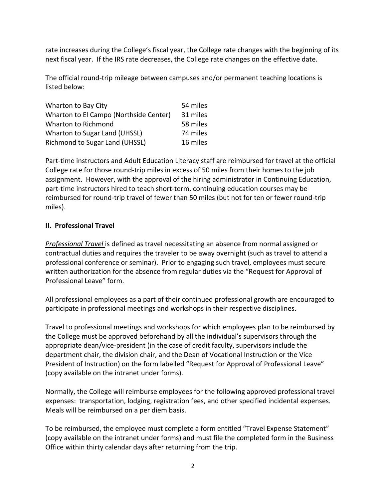rate increases during the College's fiscal year, the College rate changes with the beginning of its next fiscal year. If the IRS rate decreases, the College rate changes on the effective date.

The official round-trip mileage between campuses and/or permanent teaching locations is listed below:

| Wharton to Bay City                    | 54 miles |
|----------------------------------------|----------|
| Wharton to El Campo (Northside Center) | 31 miles |
| Wharton to Richmond                    | 58 miles |
| Wharton to Sugar Land (UHSSL)          | 74 miles |
| <b>Richmond to Sugar Land (UHSSL)</b>  | 16 miles |

Part-time instructors and Adult Education Literacy staff are reimbursed for travel at the official College rate for those round-trip miles in excess of 50 miles from their homes to the job assignment. However, with the approval of the hiring administrator in Continuing Education, part-time instructors hired to teach short-term, continuing education courses may be reimbursed for round-trip travel of fewer than 50 miles (but not for ten or fewer round-trip miles).

# **II. Professional Travel**

*Professional Travel* is defined as travel necessitating an absence from normal assigned or contractual duties and requires the traveler to be away overnight (such as travel to attend a professional conference or seminar). Prior to engaging such travel, employees must secure written authorization for the absence from regular duties via the "Request for Approval of Professional Leave" form.

All professional employees as a part of their continued professional growth are encouraged to participate in professional meetings and workshops in their respective disciplines.

Travel to professional meetings and workshops for which employees plan to be reimbursed by the College must be approved beforehand by all the individual's supervisors through the appropriate dean/vice-president (in the case of credit faculty, supervisors include the department chair, the division chair, and the Dean of Vocational Instruction or the Vice President of Instruction) on the form labelled "Request for Approval of Professional Leave" (copy available on the intranet under forms).

Normally, the College will reimburse employees for the following approved professional travel expenses: transportation, lodging, registration fees, and other specified incidental expenses. Meals will be reimbursed on a per diem basis.

To be reimbursed, the employee must complete a form entitled "Travel Expense Statement" (copy available on the intranet under forms) and must file the completed form in the Business Office within thirty calendar days after returning from the trip.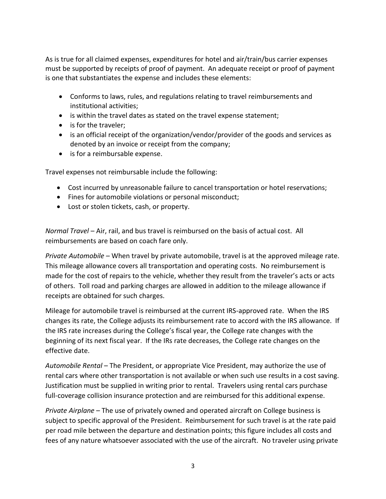As is true for all claimed expenses, expenditures for hotel and air/train/bus carrier expenses must be supported by receipts of proof of payment. An adequate receipt or proof of payment is one that substantiates the expense and includes these elements:

- Conforms to laws, rules, and regulations relating to travel reimbursements and institutional activities;
- is within the travel dates as stated on the travel expense statement;
- is for the traveler;
- is an official receipt of the organization/vendor/provider of the goods and services as denoted by an invoice or receipt from the company;
- is for a reimbursable expense.

Travel expenses not reimbursable include the following:

- Cost incurred by unreasonable failure to cancel transportation or hotel reservations;
- Fines for automobile violations or personal misconduct;
- Lost or stolen tickets, cash, or property.

*Normal Travel* – Air, rail, and bus travel is reimbursed on the basis of actual cost. All reimbursements are based on coach fare only.

*Private Automobile* – When travel by private automobile, travel is at the approved mileage rate. This mileage allowance covers all transportation and operating costs. No reimbursement is made for the cost of repairs to the vehicle, whether they result from the traveler's acts or acts of others. Toll road and parking charges are allowed in addition to the mileage allowance if receipts are obtained for such charges.

Mileage for automobile travel is reimbursed at the current IRS-approved rate. When the IRS changes its rate, the College adjusts its reimbursement rate to accord with the IRS allowance. If the IRS rate increases during the College's fiscal year, the College rate changes with the beginning of its next fiscal year. If the IRs rate decreases, the College rate changes on the effective date.

*Automobile Rental* – The President, or appropriate Vice President, may authorize the use of rental cars where other transportation is not available or when such use results in a cost saving. Justification must be supplied in writing prior to rental. Travelers using rental cars purchase full-coverage collision insurance protection and are reimbursed for this additional expense.

*Private Airplane* – The use of privately owned and operated aircraft on College business is subject to specific approval of the President. Reimbursement for such travel is at the rate paid per road mile between the departure and destination points; this figure includes all costs and fees of any nature whatsoever associated with the use of the aircraft. No traveler using private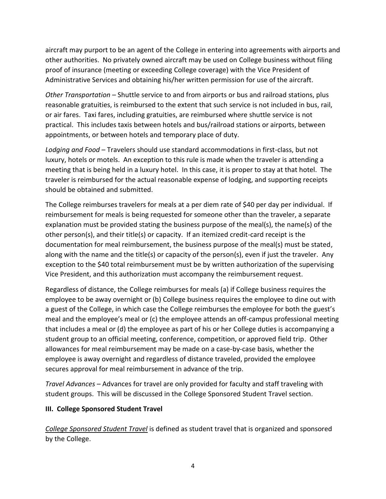aircraft may purport to be an agent of the College in entering into agreements with airports and other authorities. No privately owned aircraft may be used on College business without filing proof of insurance (meeting or exceeding College coverage) with the Vice President of Administrative Services and obtaining his/her written permission for use of the aircraft.

*Other Transportation* – Shuttle service to and from airports or bus and railroad stations, plus reasonable gratuities, is reimbursed to the extent that such service is not included in bus, rail, or air fares. Taxi fares, including gratuities, are reimbursed where shuttle service is not practical. This includes taxis between hotels and bus/railroad stations or airports, between appointments, or between hotels and temporary place of duty.

*Lodging and Food* – Travelers should use standard accommodations in first-class, but not luxury, hotels or motels. An exception to this rule is made when the traveler is attending a meeting that is being held in a luxury hotel. In this case, it is proper to stay at that hotel. The traveler is reimbursed for the actual reasonable expense of lodging, and supporting receipts should be obtained and submitted.

The College reimburses travelers for meals at a per diem rate of \$40 per day per individual. If reimbursement for meals is being requested for someone other than the traveler, a separate explanation must be provided stating the business purpose of the meal(s), the name(s) of the other person(s), and their title(s) or capacity. If an itemized credit-card receipt is the documentation for meal reimbursement, the business purpose of the meal(s) must be stated, along with the name and the title(s) or capacity of the person(s), even if just the traveler. Any exception to the \$40 total reimbursement must be by written authorization of the supervising Vice President, and this authorization must accompany the reimbursement request.

Regardless of distance, the College reimburses for meals (a) if College business requires the employee to be away overnight or (b) College business requires the employee to dine out with a guest of the College, in which case the College reimburses the employee for both the guest's meal and the employee's meal or (c) the employee attends an off-campus professional meeting that includes a meal or (d) the employee as part of his or her College duties is accompanying a student group to an official meeting, conference, competition, or approved field trip. Other allowances for meal reimbursement may be made on a case-by-case basis, whether the employee is away overnight and regardless of distance traveled, provided the employee secures approval for meal reimbursement in advance of the trip.

*Travel Advances* – Advances for travel are only provided for faculty and staff traveling with student groups. This will be discussed in the College Sponsored Student Travel section.

## **III. College Sponsored Student Travel**

*College Sponsored Student Travel* is defined as student travel that is organized and sponsored by the College.